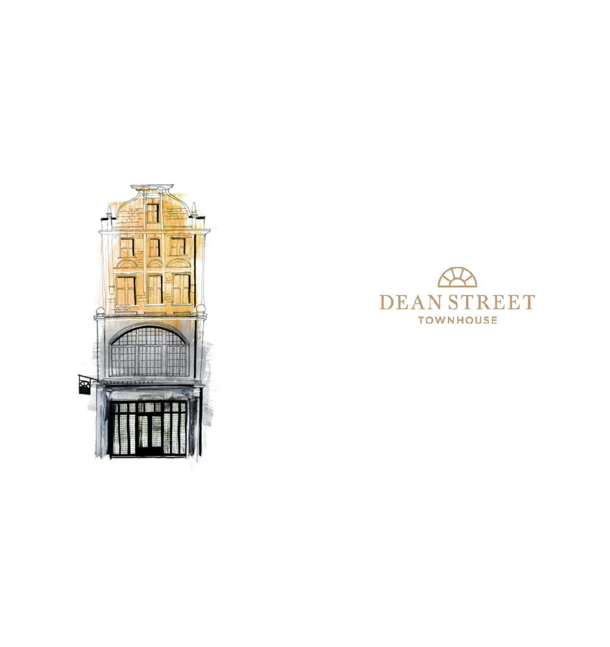

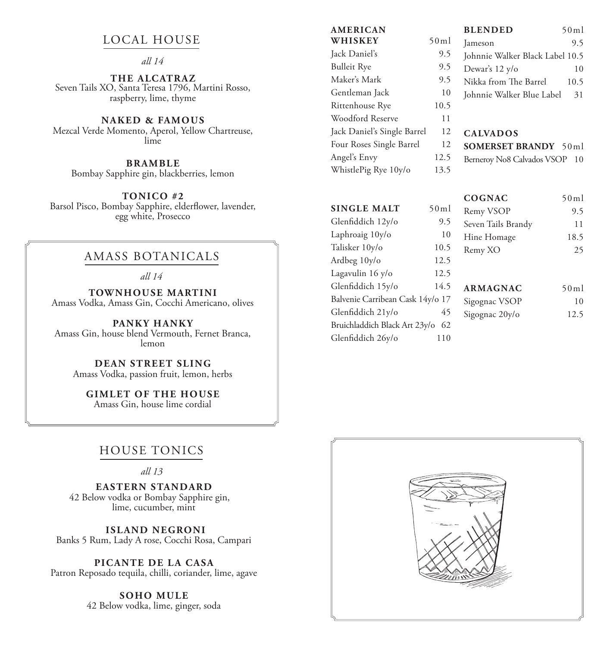## LOCAL HOUSE

#### *all 14*

**THE ALCATRAZ** Seven Tails XO, Santa Teresa 1796, Martini Rosso, raspberry, lime, thyme

**NAKED & FAMOUS** Mezcal Verde Momento, Aperol, Yellow Chartreuse, lime

**BRAMBLE** Bombay Sapphire gin, blackberries, lemon

**TONICO #2** Barsol Pisco, Bombay Sapphire, elderflower, lavender, egg white, Prosecco

#### AMASS BOTANICALS

*all 14*

**TOWNHOUSE MARTINI** Amass Vodka, Amass Gin, Cocchi Americano, olives

**PANKY HANKY** Amass Gin, house blend Vermouth, Fernet Branca, lemon

**DEAN STREET SLING** Amass Vodka, passion fruit, lemon, herbs

**GIMLET OF THE HOUSE** Amass Gin, house lime cordial

### HOUSE TONICS

*all 13*

**EASTERN STANDARD** 42 Below vodka or Bombay Sapphire gin, lime, cucumber, mint

 **ISLAND NEGRONI** Banks 5 Rum, Lady A rose, Cocchi Rosa, Campari

**PICANTE DE LA CASA**  Patron Reposado tequila, chilli, coriander, lime, agave

> **SOHO MULE** 42 Below vodka, lime, ginger, soda

### **AMERICAN**

| WHISKEY                     | 50ml |
|-----------------------------|------|
| Jack Daniel's               | 9.5  |
| <b>Bulleit Rye</b>          | 9.5  |
| Maker's Mark                | 9.5  |
| Gentleman Jack              | 10   |
| Rittenhouse Rye             | 10.5 |
| Woodford Reserve            | 11   |
| Jack Daniel's Single Barrel | 12   |
| Four Roses Single Barrel    | 12   |
| Angel's Envy                | 12.5 |
| WhistlePig Rye 10y/o        | 13.5 |

Glenfiddich 26y/o 110

# **BLENDED** 50ml Jameson 9.5 Johnnie Walker Black Label 10.5 Dewar's  $12 \text{ y/o}$  10 Nikka from The Barrel 10.5 Johnnie Walker Blue Label 31

#### **CALVADOS**

**SOMERSET BRANDY** 50ml

Berneroy No8 Calvados VSOP 10

|                                  |      | <b>COGNAC</b>      | 50ml |
|----------------------------------|------|--------------------|------|
| <b>SINGLE MALT</b>               | 50ml | Remy VSOP          | 9.5  |
| Glenfiddich 12y/o                | 9.5  | Seven Tails Brandy | 11   |
| Laphroaig 10y/o                  | 10   | Hine Homage        | 18.5 |
| Talisker 10y/o                   | 10.5 | Remy XO            | 25   |
| Ardbeg 10y/o                     | 12.5 |                    |      |
| Lagavulin 16 y/o                 | 12.5 |                    |      |
| Glenfiddich 15y/o                | 14.5 | <b>ARMAGNAC</b>    | 50ml |
| Balvenie Carribean Cask 14y/o 17 |      | Sigognac VSOP      | 10   |
| Glenfiddich 21y/o                | 45   | Sigognac 20y/o     | 12.5 |
| Bruichladdich Black Art 23y/o    | 62   |                    |      |

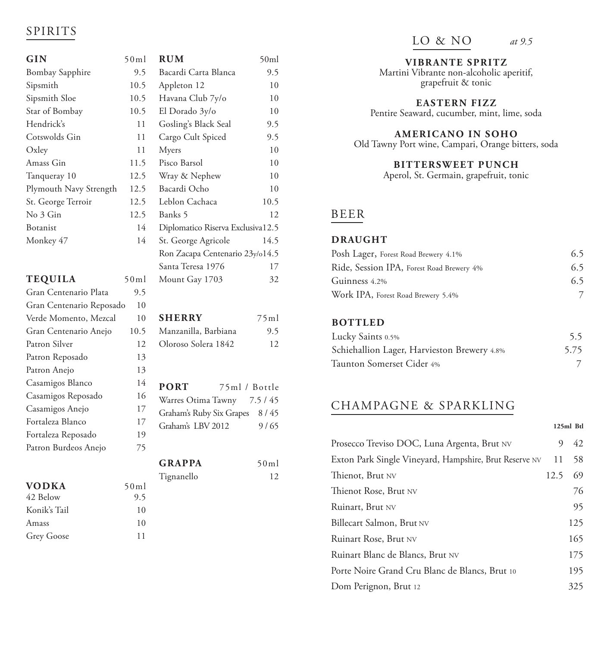## SPIRITS

| GIN                      | 50ml | <b>RUM</b>                        | 50ml   |
|--------------------------|------|-----------------------------------|--------|
| <b>Bombay Sapphire</b>   | 9.5  | Bacardi Carta Blanca              | 9.5    |
| Sipsmith                 | 10.5 | Appleton 12                       | 10     |
| Sipsmith Sloe            | 10.5 | Havana Club 7y/o                  | 10     |
| Star of Bombay           | 10.5 | El Dorado 3y/o                    | 10     |
| Hendrick's               | 11   | Gosling's Black Seal              | 9.5    |
| Cotswolds Gin            | 11   | Cargo Cult Spiced                 | 9.5    |
| Oxley                    | 11   | Myers                             | 10     |
| Amass Gin                | 11.5 | Pisco Barsol                      | 10     |
| Tanqueray 10             | 12.5 | Wray & Nephew                     | 10     |
| Plymouth Navy Strength   | 12.5 | Bacardi Ocho                      | 10     |
| St. George Terroir       | 12.5 | Leblon Cachaca                    | 10.5   |
| No 3 Gin                 | 12.5 | Banks 5                           | 12     |
| Botanist                 | 14   | Diplomatico Riserva Exclusiva12.5 |        |
| Monkey 47                | 14   | St. George Agricole               | 14.5   |
|                          |      | Ron Zacapa Centenario 23y/o14.5   |        |
|                          |      | Santa Teresa 1976                 | 17     |
| <b>TEQUILA</b>           | 50ml | Mount Gay 1703                    | 32     |
| Gran Centenario Plata    | 9.5  |                                   |        |
| Gran Centenario Reposado | 10   |                                   |        |
| Verde Momento, Mezcal    | 10   | <b>SHERRY</b>                     | 75ml   |
| Gran Centenario Anejo    | 10.5 | Manzanilla, Barbiana              | 9.5    |
| Patron Silver            | 12   | Oloroso Solera 1842               | 12     |
| Patron Reposado          | 13   |                                   |        |
| Patron Anejo             | 13   |                                   |        |
| Casamigos Blanco         | 14   | <b>PORT</b><br>75ml / Bottle      |        |
| Casamigos Reposado       | 16   | Warres Otima Tawny                | 7.5/45 |
| Casamigos Anejo          | 17   | Graham's Ruby Six Grapes          | 8/45   |
| Fortaleza Blanco         | 17   | Graham's LBV 2012                 | 9/65   |
| Fortaleza Reposado       | 19   |                                   |        |
| Patron Burdeos Anejo     | 75   |                                   |        |
|                          |      | <b>GRAPPA</b>                     | 50ml   |
|                          |      | Tignanello                        | 12     |
| <b>VODKA</b>             | 50ml |                                   |        |
| 42 Below                 | 9.5  |                                   |        |
| Konik's Tail             | 10   |                                   |        |
| Amass                    | 10   |                                   |        |

Grey Goose 11

LO & NO *at 9.5*

**VIBRANTE SPRITZ**

Martini Vibrante non-alcoholic aperitif, grapefruit & tonic

**EASTERN FIZZ** Pentire Seaward, cucumber, mint, lime, soda

**AMERICANO IN SOHO**

Old Tawny Port wine, Campari, Orange bitters, soda

**BITTERSWEET PUNCH**

Aperol, St. Germain, grapefruit, tonic

## BEER

#### **DRAUGHT**

| Posh Lager, Forest Road Brewery 4.1%      | 6.5 |
|-------------------------------------------|-----|
| Ride, Session IPA, Forest Road Brewery 4% | 6.5 |
| Guinness 4.2%                             | 6.5 |
| Work IPA, Forest Road Brewery 5.4%        |     |

#### **BOTTLED**

| Lucky Saints 0.5%                           | 5.5  |
|---------------------------------------------|------|
| Schiehallion Lager, Harvieston Brewery 4.8% | 5.75 |
| Taunton Somerset Cider 4%                   |      |

# CHAMPAGNE & SPARKLING

|                                                        |      | $125ml$ Btl |
|--------------------------------------------------------|------|-------------|
| Prosecco Treviso DOC, Luna Argenta, Brut NV            | 9    | 42          |
| Exton Park Single Vineyard, Hampshire, Brut Reserve NV | 11   | 58          |
| Thienot, Brut NV                                       | 12.5 | 69          |
| Thienot Rose, Brut NV                                  |      | 76          |
| Ruinart, Brut NV                                       |      | 95          |
| Billecart Salmon, Brut NV                              |      | 125         |
| Ruinart Rose, Brut NV                                  |      | 165         |
| Ruinart Blanc de Blancs, Brut NV                       |      | 175         |
| Porte Noire Grand Cru Blanc de Blancs, Brut 10         |      | 195         |
| Dom Perignon, Brut 12                                  |      | 325         |